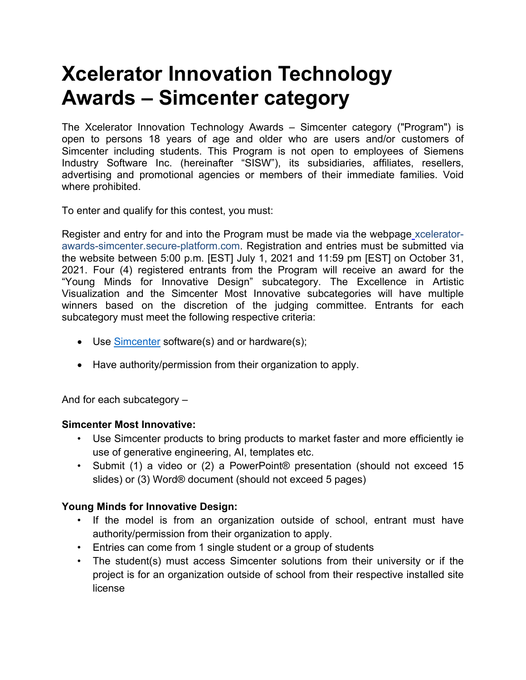# **Xcelerator Innovation Technology Awards – Simcenter category**

The Xcelerator Innovation Technology Awards – Simcenter category ("Program") is open to persons 18 years of age and older who are users and/or customers of Simcenter including students. This Program is not open to employees of Siemens Industry Software Inc. (hereinafter "SISW"), its subsidiaries, affiliates, resellers, advertising and promotional agencies or members of their immediate families. Void where prohibited.

To enter and qualify for this contest, you must:

Register and entry for and into the Program must be made via the webpage xceleratorawards-simcenter.secure-platform.com. Registration and entries must be submitted via the website between 5:00 p.m. [EST] July 1, 2021 and 11:59 pm [EST] on October 31, 2021. Four (4) registered entrants from the Program will receive an award for the "Young Minds for Innovative Design" subcategory. The Excellence in Artistic Visualization and the Simcenter Most Innovative subcategories will have multiple winners based on the discretion of the judging committee. Entrants for each subcategory must meet the following respective criteria:

- Use [Simcenter](https://www.plm.automation.siemens.com/global/en/products/simcenter/engineer-innovation.html) software(s) and or hardware(s);
- Have authority/permission from their organization to apply.

And for each subcategory –

#### **Simcenter Most Innovative:**

- Use Simcenter products to bring products to market faster and more efficiently ie use of generative engineering, AI, templates etc.
- Submit (1) a video or (2) a PowerPoint® presentation (should not exceed 15 slides) or (3) Word® document (should not exceed 5 pages)

## **Young Minds for Innovative Design:**

- If the model is from an organization outside of school, entrant must have authority/permission from their organization to apply.
- Entries can come from 1 single student or a group of students
- The student(s) must access Simcenter solutions from their university or if the project is for an organization outside of school from their respective installed site license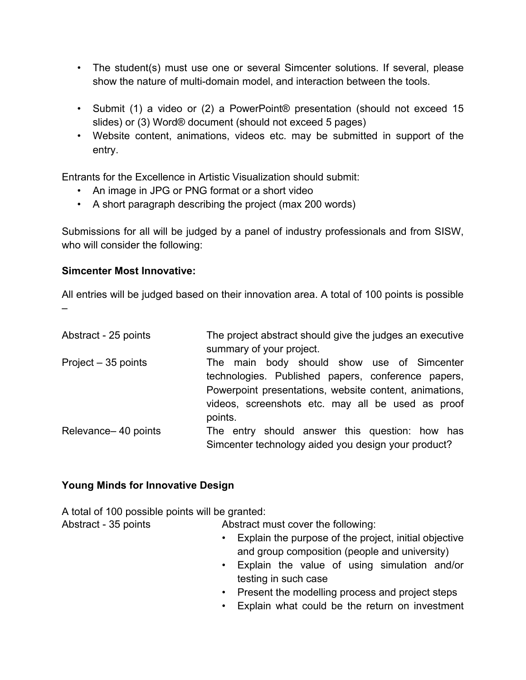- The student(s) must use one or several Simcenter solutions. If several, please show the nature of multi-domain model, and interaction between the tools.
- Submit (1) a video or (2) a PowerPoint® presentation (should not exceed 15 slides) or (3) Word® document (should not exceed 5 pages)
- Website content, animations, videos etc. may be submitted in support of the entry.

Entrants for the Excellence in Artistic Visualization should submit:

- An image in JPG or PNG format or a short video
- A short paragraph describing the project (max 200 words)

Submissions for all will be judged by a panel of industry professionals and from SISW, who will consider the following:

## **Simcenter Most Innovative:**

All entries will be judged based on their innovation area. A total of 100 points is possible –

| Abstract - 25 points | The project abstract should give the judges an executive<br>summary of your project.                                                                                                                                       |
|----------------------|----------------------------------------------------------------------------------------------------------------------------------------------------------------------------------------------------------------------------|
| Project – 35 points  | The main body should show use of Simcenter<br>technologies. Published papers, conference papers,<br>Powerpoint presentations, website content, animations,<br>videos, screenshots etc. may all be used as proof<br>points. |
| Relevance-40 points  | The entry should answer this question: how has<br>Simcenter technology aided you design your product?                                                                                                                      |

## **Young Minds for Innovative Design**

A total of 100 possible points will be granted: Abstract - 35 points Abstract must cover the following:

- Explain the purpose of the project, initial objective
	- and group composition (people and university)
- Explain the value of using simulation and/or testing in such case
- Present the modelling process and project steps
- Explain what could be the return on investment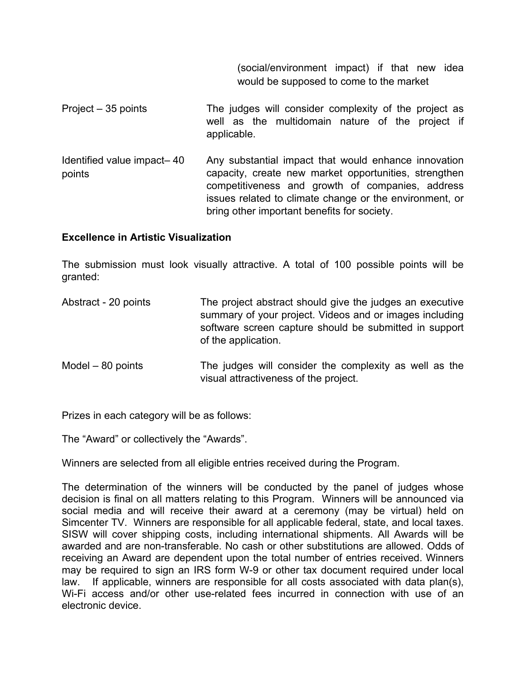(social/environment impact) if that new idea would be supposed to come to the market

- Project 35 points The judges will consider complexity of the project as well as the multidomain nature of the project if applicable.
- Identified value impact– 40 points Any substantial impact that would enhance innovation capacity, create new market opportunities, strengthen competitiveness and growth of companies, address issues related to climate change or the environment, or bring other important benefits for society.

#### **Excellence in Artistic Visualization**

The submission must look visually attractive. A total of 100 possible points will be granted:

| Abstract - 20 points | The project abstract should give the judges an executive<br>summary of your project. Videos and or images including<br>software screen capture should be submitted in support<br>of the application. |
|----------------------|------------------------------------------------------------------------------------------------------------------------------------------------------------------------------------------------------|
| Model $-80$ points   | The judges will consider the complexity as well as the<br>visual attractiveness of the project.                                                                                                      |

Prizes in each category will be as follows:

The "Award" or collectively the "Awards".

Winners are selected from all eligible entries received during the Program.

The determination of the winners will be conducted by the panel of judges whose decision is final on all matters relating to this Program. Winners will be announced via social media and will receive their award at a ceremony (may be virtual) held on Simcenter TV. Winners are responsible for all applicable federal, state, and local taxes. SISW will cover shipping costs, including international shipments. All Awards will be awarded and are non-transferable. No cash or other substitutions are allowed. Odds of receiving an Award are dependent upon the total number of entries received. Winners may be required to sign an IRS form W-9 or other tax document required under local law. If applicable, winners are responsible for all costs associated with data plan(s), Wi-Fi access and/or other use-related fees incurred in connection with use of an electronic device.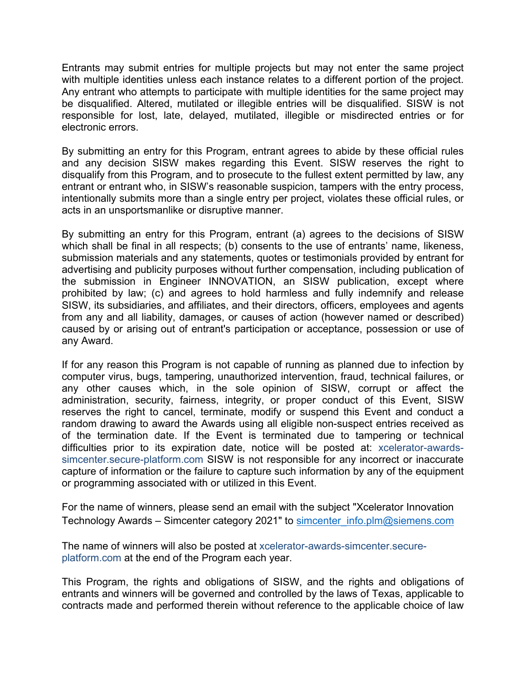Entrants may submit entries for multiple projects but may not enter the same project with multiple identities unless each instance relates to a different portion of the project. Any entrant who attempts to participate with multiple identities for the same project may be disqualified. Altered, mutilated or illegible entries will be disqualified. SISW is not responsible for lost, late, delayed, mutilated, illegible or misdirected entries or for electronic errors.

By submitting an entry for this Program, entrant agrees to abide by these official rules and any decision SISW makes regarding this Event. SISW reserves the right to disqualify from this Program, and to prosecute to the fullest extent permitted by law, any entrant or entrant who, in SISW's reasonable suspicion, tampers with the entry process, intentionally submits more than a single entry per project, violates these official rules, or acts in an unsportsmanlike or disruptive manner.

By submitting an entry for this Program, entrant (a) agrees to the decisions of SISW which shall be final in all respects; (b) consents to the use of entrants' name, likeness, submission materials and any statements, quotes or testimonials provided by entrant for advertising and publicity purposes without further compensation, including publication of the submission in Engineer INNOVATION, an SISW publication, except where prohibited by law; (c) and agrees to hold harmless and fully indemnify and release SISW, its subsidiaries, and affiliates, and their directors, officers, employees and agents from any and all liability, damages, or causes of action (however named or described) caused by or arising out of entrant's participation or acceptance, possession or use of any Award.

If for any reason this Program is not capable of running as planned due to infection by computer virus, bugs, tampering, unauthorized intervention, fraud, technical failures, or any other causes which, in the sole opinion of SISW, corrupt or affect the administration, security, fairness, integrity, or proper conduct of this Event, SISW reserves the right to cancel, terminate, modify or suspend this Event and conduct a random drawing to award the Awards using all eligible non-suspect entries received as of the termination date. If the Event is terminated due to tampering or technical difficulties prior to its expiration date, notice will be posted at: xcelerator-awardssimcenter.secure-platform.com SISW is not responsible for any incorrect or inaccurate capture of information or the failure to capture such information by any of the equipment or programming associated with or utilized in this Event.

For the name of winners, please send an email with the subject "Xcelerator Innovation Technology Awards – Simcenter category 2021" to simcenter info.plm@siemens.com

The name of winners will also be posted at xcelerator-awards-simcenter.secureplatform.com at the end of the Program each year.

This Program, the rights and obligations of SISW, and the rights and obligations of entrants and winners will be governed and controlled by the laws of Texas, applicable to contracts made and performed therein without reference to the applicable choice of law